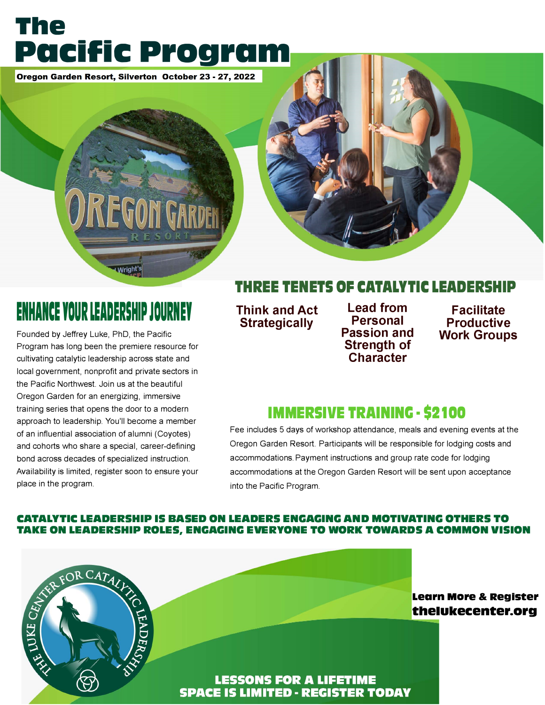## **The Pacific Program**

Oregon Garden Resort, Silverton October 23 - 27, 2022

## **ENHANCE YOUR LEADERSHIP JOURNEY**

Founded by Jeffrey Luke, PhD, the Pacific Program has long been the premiere resource for cultivating catalytic leadership across state and local government, nonprofit and private sectors in the Pacific Northwest. Join us at the beautiful Oregon Garden for an energizing, immersive training series that opens the door to a modern approach to leadership. You'll become a member of an influential association of alumni (Coyotes) and cohorts who share a special, career-defining bond across decades of specialized instruction. Availability is limited, register soon to ensure your place in the program.

### **THREE TENETS OF CATALYTIC LEADERSHIP**

**Think and Act Strategically** 

**Lead from Personal Passion and Strength of Character** 

**Facilitate Productive Work Groups** 

### **IMMERSIVE TRAININC • \$2100**

Fee includes 5 days of workshop attendance, meals and evening events at the Oregon Garden Resort. Participants will be responsible for lodging costs and accommodations. Payment instructions and group rate code for lodging accommodations at the Oregon Garden Resort will be sent upon acceptance into the Pacific Program.

#### **CATALYTIC LEADERSHIP IS BASED ON LEADERS ENGAGING AND MOTIVATING OTHERS TO TAKE ON LEADERSHIP ROLES, ENGAGING EVERYONE TO WORK TOWARDS A COMMON VISION**